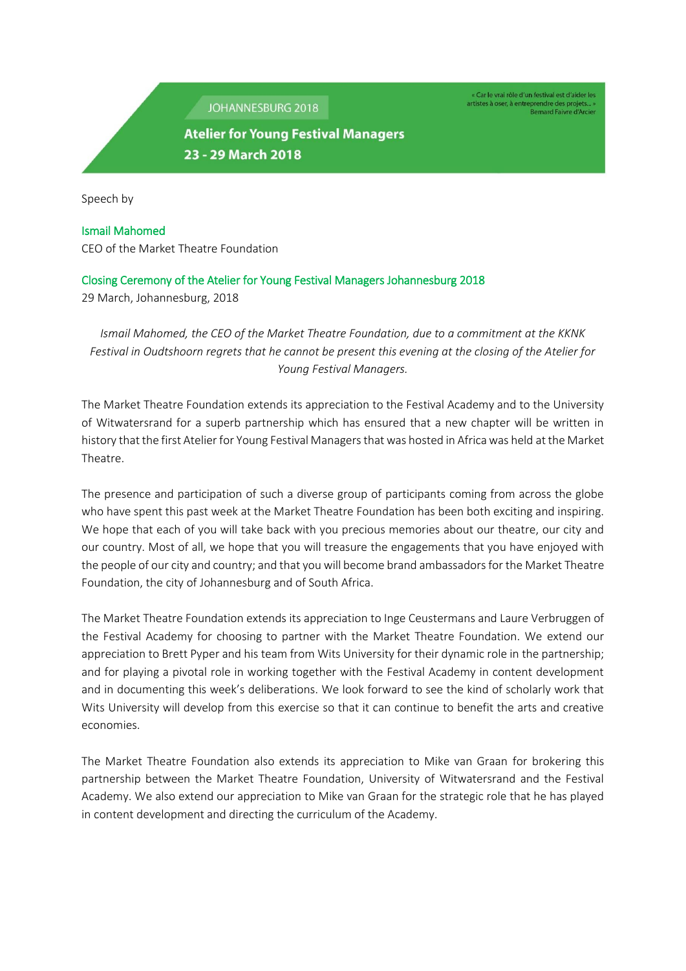JOHANNESBURG 2018

« Car le vrai rôle d'un festival est d'aider les artistes à oser, à entreprendre des projets... »<br>Bernard Faivre d'Arcier

## **Atelier for Young Festival Managers** 23 - 29 March 2018

Speech by

## Ismail Mahomed CEO of the Market Theatre Foundation

## Closing Ceremony of the Atelier for Young Festival Managers Johannesburg 2018

29 March, Johannesburg, 2018

*Ismail Mahomed, the CEO of the Market Theatre Foundation, due to a commitment at the KKNK Festival in Oudtshoorn regrets that he cannot be present this evening at the closing of the Atelier for Young Festival Managers.*

The Market Theatre Foundation extends its appreciation to the Festival Academy and to the University of Witwatersrand for a superb partnership which has ensured that a new chapter will be written in history that the first Atelier for Young Festival Managers that was hosted in Africa was held at the Market Theatre.

The presence and participation of such a diverse group of participants coming from across the globe who have spent this past week at the Market Theatre Foundation has been both exciting and inspiring. We hope that each of you will take back with you precious memories about our theatre, our city and our country. Most of all, we hope that you will treasure the engagements that you have enjoyed with the people of our city and country; and that you will become brand ambassadors for the Market Theatre Foundation, the city of Johannesburg and of South Africa.

The Market Theatre Foundation extends its appreciation to Inge Ceustermans and Laure Verbruggen of the Festival Academy for choosing to partner with the Market Theatre Foundation. We extend our appreciation to Brett Pyper and his team from Wits University for their dynamic role in the partnership; and for playing a pivotal role in working together with the Festival Academy in content development and in documenting this week's deliberations. We look forward to see the kind of scholarly work that Wits University will develop from this exercise so that it can continue to benefit the arts and creative economies.

The Market Theatre Foundation also extends its appreciation to Mike van Graan for brokering this partnership between the Market Theatre Foundation, University of Witwatersrand and the Festival Academy. We also extend our appreciation to Mike van Graan for the strategic role that he has played in content development and directing the curriculum of the Academy.